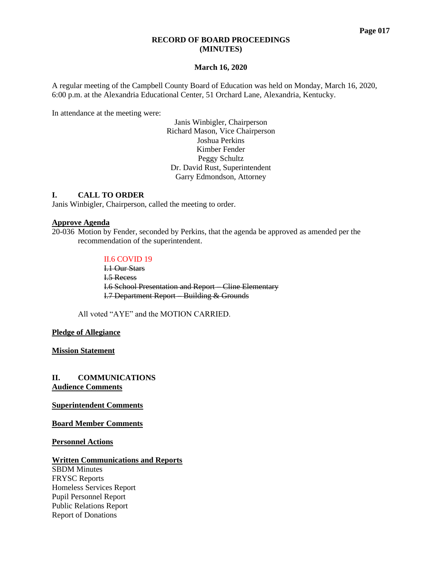#### **RECORD OF BOARD PROCEEDINGS (MINUTES)**

#### **March 16, 2020**

A regular meeting of the Campbell County Board of Education was held on Monday, March 16, 2020, 6:00 p.m. at the Alexandria Educational Center, 51 Orchard Lane, Alexandria, Kentucky.

In attendance at the meeting were:

Janis Winbigler, Chairperson Richard Mason, Vice Chairperson Joshua Perkins Kimber Fender Peggy Schultz Dr. David Rust, Superintendent Garry Edmondson, Attorney

### **I. CALL TO ORDER**

Janis Winbigler, Chairperson, called the meeting to order.

#### **Approve Agenda**

20-036 Motion by Fender, seconded by Perkins, that the agenda be approved as amended per the recommendation of the superintendent.

#### II.6 COVID 19

I.1 Our Stars I.5 Recess I.6 School Presentation and Report – Cline Elementary I.7 Department Report – Building & Grounds

All voted "AYE" and the MOTION CARRIED.

#### **Pledge of Allegiance**

**Mission Statement**

**II. COMMUNICATIONS Audience Comments**

**Superintendent Comments**

**Board Member Comments**

**Personnel Actions**

#### **Written Communications and Reports**

SBDM Minutes FRYSC Reports Homeless Services Report Pupil Personnel Report Public Relations Report Report of Donations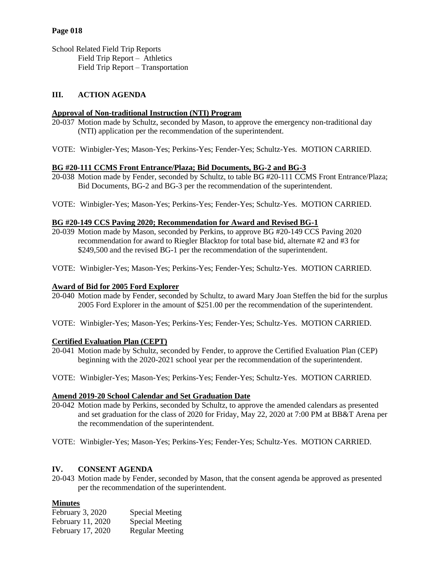# **Page 018**

School Related Field Trip Reports Field Trip Report – Athletics Field Trip Report – Transportation

# **III. ACTION AGENDA**

# **Approval of Non-traditional Instruction (NTI) Program**

- 20-037 Motion made by Schultz, seconded by Mason, to approve the emergency non-traditional day (NTI) application per the recommendation of the superintendent.
- VOTE: Winbigler-Yes; Mason-Yes; Perkins-Yes; Fender-Yes; Schultz-Yes. MOTION CARRIED.

### **BG #20-111 CCMS Front Entrance/Plaza; Bid Documents, BG-2 and BG-3**

- 20-038 Motion made by Fender, seconded by Schultz, to table BG #20-111 CCMS Front Entrance/Plaza; Bid Documents, BG-2 and BG-3 per the recommendation of the superintendent.
- VOTE: Winbigler-Yes; Mason-Yes; Perkins-Yes; Fender-Yes; Schultz-Yes. MOTION CARRIED.

### **BG #20-149 CCS Paving 2020; Recommendation for Award and Revised BG-1**

- 20-039 Motion made by Mason, seconded by Perkins, to approve BG #20-149 CCS Paving 2020 recommendation for award to Riegler Blacktop for total base bid, alternate #2 and #3 for \$249,500 and the revised BG-1 per the recommendation of the superintendent.
- VOTE: Winbigler-Yes; Mason-Yes; Perkins-Yes; Fender-Yes; Schultz-Yes. MOTION CARRIED.

#### **Award of Bid for 2005 Ford Explorer**

- 20-040 Motion made by Fender, seconded by Schultz, to award Mary Joan Steffen the bid for the surplus 2005 Ford Explorer in the amount of \$251.00 per the recommendation of the superintendent.
- VOTE: Winbigler-Yes; Mason-Yes; Perkins-Yes; Fender-Yes; Schultz-Yes. MOTION CARRIED.

# **Certified Evaluation Plan (CEPT)**

- 20-041 Motion made by Schultz, seconded by Fender, to approve the Certified Evaluation Plan (CEP) beginning with the 2020-2021 school year per the recommendation of the superintendent.
- VOTE: Winbigler-Yes; Mason-Yes; Perkins-Yes; Fender-Yes; Schultz-Yes. MOTION CARRIED.

# **Amend 2019-20 School Calendar and Set Graduation Date**

- 20-042 Motion made by Perkins, seconded by Schultz, to approve the amended calendars as presented and set graduation for the class of 2020 for Friday, May 22, 2020 at 7:00 PM at BB&T Arena per the recommendation of the superintendent.
- VOTE: Winbigler-Yes; Mason-Yes; Perkins-Yes; Fender-Yes; Schultz-Yes. MOTION CARRIED.

# **IV. CONSENT AGENDA**

20-043 Motion made by Fender, seconded by Mason, that the consent agenda be approved as presented per the recommendation of the superintendent.

# **Minutes**

| February 3, 2020  | Special Meeting        |
|-------------------|------------------------|
| February 11, 2020 | Special Meeting        |
| February 17, 2020 | <b>Regular Meeting</b> |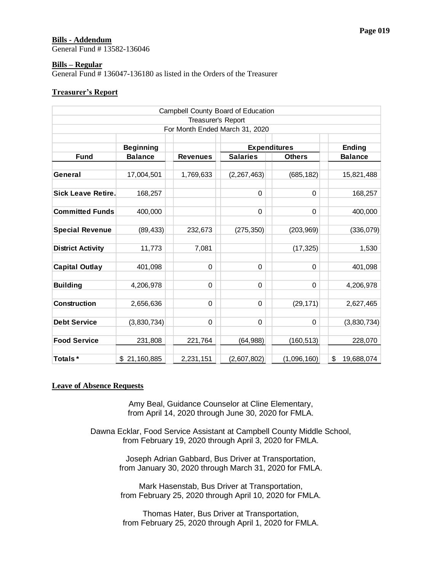# **Bills - Addendum**

General Fund # 13582-136046

#### **Bills – Regular**

General Fund # 136047-136180 as listed in the Orders of the Treasurer

#### **Treasurer's Report**

|                                  |                                                                        |                    | Campbell County Board of Education                                                                             |               |                  |
|----------------------------------|------------------------------------------------------------------------|--------------------|----------------------------------------------------------------------------------------------------------------|---------------|------------------|
|                                  |                                                                        | Treasurer's Report |                                                                                                                |               |                  |
|                                  |                                                                        |                    | For Month Ended March 31, 2020                                                                                 |               |                  |
|                                  | <b>Beginning</b>                                                       |                    | <b>Expenditures</b>                                                                                            |               | <b>Ending</b>    |
| <b>Fund</b>                      | <b>Balance</b>                                                         | <b>Revenues</b>    | <b>Salaries</b>                                                                                                | <b>Others</b> | <b>Balance</b>   |
|                                  |                                                                        |                    |                                                                                                                |               |                  |
| General                          | 17,004,501                                                             | 1,769,633          | (2, 267, 463)                                                                                                  | (685, 182)    | 15,821,488       |
|                                  |                                                                        |                    |                                                                                                                |               |                  |
| <b>Sick Leave Retire.</b>        | 168,257                                                                |                    | 0                                                                                                              | 0             | 168,257          |
| <b>Committed Funds</b>           | 400,000                                                                |                    | 0                                                                                                              | 0             | 400,000          |
|                                  |                                                                        |                    |                                                                                                                |               |                  |
| <b>Special Revenue</b>           | (89, 433)                                                              | 232,673            | (275, 350)                                                                                                     | (203, 969)    | (336, 079)       |
|                                  |                                                                        |                    |                                                                                                                |               |                  |
| <b>District Activity</b>         | 11,773                                                                 | 7,081              |                                                                                                                | (17, 325)     | 1,530            |
|                                  |                                                                        |                    |                                                                                                                |               |                  |
| <b>Capital Outlay</b>            | 401,098                                                                | 0                  | 0                                                                                                              | 0             | 401,098          |
| <b>Building</b>                  | 4,206,978                                                              | $\pmb{0}$          | 0                                                                                                              | 0             | 4,206,978        |
|                                  |                                                                        |                    |                                                                                                                |               |                  |
| <b>Construction</b>              | 2,656,636                                                              | 0                  | 0                                                                                                              | (29, 171)     | 2,627,465        |
|                                  |                                                                        |                    |                                                                                                                |               |                  |
| <b>Debt Service</b>              | (3,830,734)                                                            | 0                  | 0                                                                                                              | 0             | (3,830,734)      |
|                                  |                                                                        |                    |                                                                                                                |               |                  |
| <b>Food Service</b>              | 231,808                                                                | 221,764            | (64, 988)                                                                                                      | (160, 513)    | 228,070          |
| Totals*                          | \$21,160,885                                                           | 2,231,151          | (2,607,802)                                                                                                    | (1,096,160)   | \$<br>19,688,074 |
|                                  |                                                                        |                    |                                                                                                                |               |                  |
| <b>Leave of Absence Requests</b> |                                                                        |                    | Amy Beal, Guidance Counselor at Cline Elementary,<br>from April 14, 2020 through June 30, 2020 for FMLA.       |               |                  |
|                                  |                                                                        |                    |                                                                                                                |               |                  |
|                                  | Dawna Ecklar, Food Service Assistant at Campbell County Middle School, |                    |                                                                                                                |               |                  |
|                                  |                                                                        |                    | from February 19, 2020 through April 3, 2020 for FMLA.                                                         |               |                  |
|                                  |                                                                        |                    |                                                                                                                |               |                  |
|                                  |                                                                        |                    | Joseph Adrian Gabbard, Bus Driver at Transportation,<br>from January 30, 2020 through March 31, 2020 for FMLA. |               |                  |
|                                  |                                                                        |                    | Mark Hasenstab, Bus Driver at Transportation,<br>from February 25, 2020 through April 10, 2020 for FMLA.       |               |                  |
|                                  |                                                                        |                    | Thomas Hater, Bus Driver at Transportation,                                                                    |               |                  |
|                                  |                                                                        |                    | from February 25, 2020 through April 1, 2020 for FMLA.                                                         |               |                  |

#### **Leave of Absence Requests**